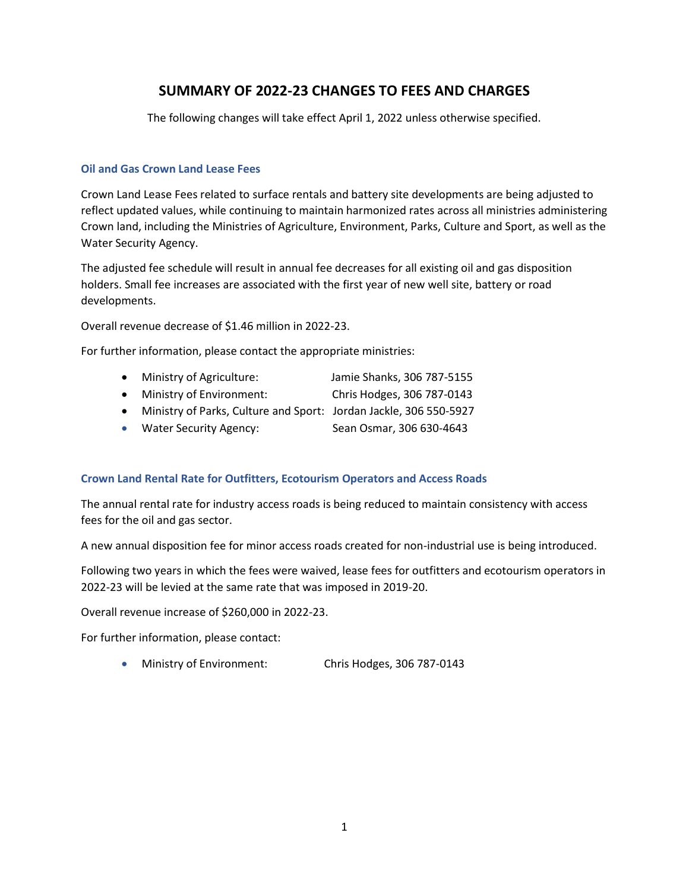# **SUMMARY OF 2022-23 CHANGES TO FEES AND CHARGES**

The following changes will take effect April 1, 2022 unless otherwise specified.

#### **Oil and Gas Crown Land Lease Fees**

Crown Land Lease Fees related to surface rentals and battery site developments are being adjusted to reflect updated values, while continuing to maintain harmonized rates across all ministries administering Crown land, including the Ministries of Agriculture, Environment, Parks, Culture and Sport, as well as the Water Security Agency.

The adjusted fee schedule will result in annual fee decreases for all existing oil and gas disposition holders. Small fee increases are associated with the first year of new well site, battery or road developments.

Overall revenue decrease of \$1.46 million in 2022-23.

For further information, please contact the appropriate ministries:

- Ministry of Agriculture: Jamie Shanks, 306 787-5155
- Ministry of Environment: Chris Hodges, 306 787-0143
- Ministry of Parks, Culture and Sport: Jordan Jackle, 306 550-5927
- Water Security Agency: Sean Osmar, 306 630-4643

# **Crown Land Rental Rate for Outfitters, Ecotourism Operators and Access Roads**

The annual rental rate for industry access roads is being reduced to maintain consistency with access fees for the oil and gas sector.

A new annual disposition fee for minor access roads created for non-industrial use is being introduced.

Following two years in which the fees were waived, lease fees for outfitters and ecotourism operators in 2022-23 will be levied at the same rate that was imposed in 2019-20.

Overall revenue increase of \$260,000 in 2022-23.

For further information, please contact:

Ministry of Environment: Chris Hodges, 306 787-0143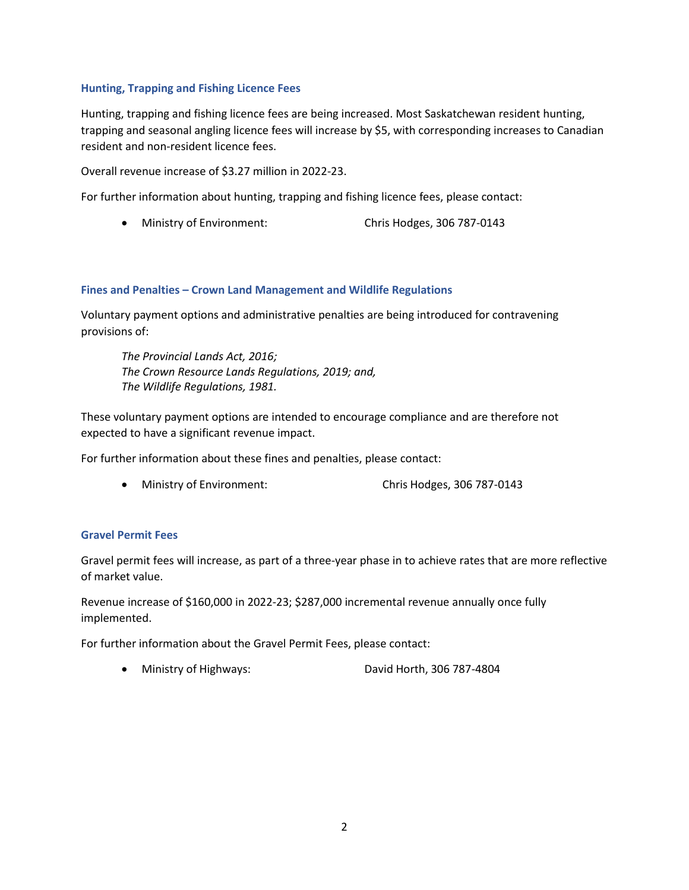# **Hunting, Trapping and Fishing Licence Fees**

Hunting, trapping and fishing licence fees are being increased. Most Saskatchewan resident hunting, trapping and seasonal angling licence fees will increase by \$5, with corresponding increases to Canadian resident and non-resident licence fees.

Overall revenue increase of \$3.27 million in 2022-23.

For further information about hunting, trapping and fishing licence fees, please contact:

Ministry of Environment: Chris Hodges, 306 787-0143

# **Fines and Penalties – Crown Land Management and Wildlife Regulations**

Voluntary payment options and administrative penalties are being introduced for contravening provisions of:

*The Provincial Lands Act, 2016; The Crown Resource Lands Regulations, 2019; and, The Wildlife Regulations, 1981.*

These voluntary payment options are intended to encourage compliance and are therefore not expected to have a significant revenue impact.

For further information about these fines and penalties, please contact:

Ministry of Environment: Chris Hodges, 306 787-0143

# **Gravel Permit Fees**

Gravel permit fees will increase, as part of a three-year phase in to achieve rates that are more reflective of market value.

Revenue increase of \$160,000 in 2022-23; \$287,000 incremental revenue annually once fully implemented.

For further information about the Gravel Permit Fees, please contact:

Ministry of Highways: David Horth, 306 787-4804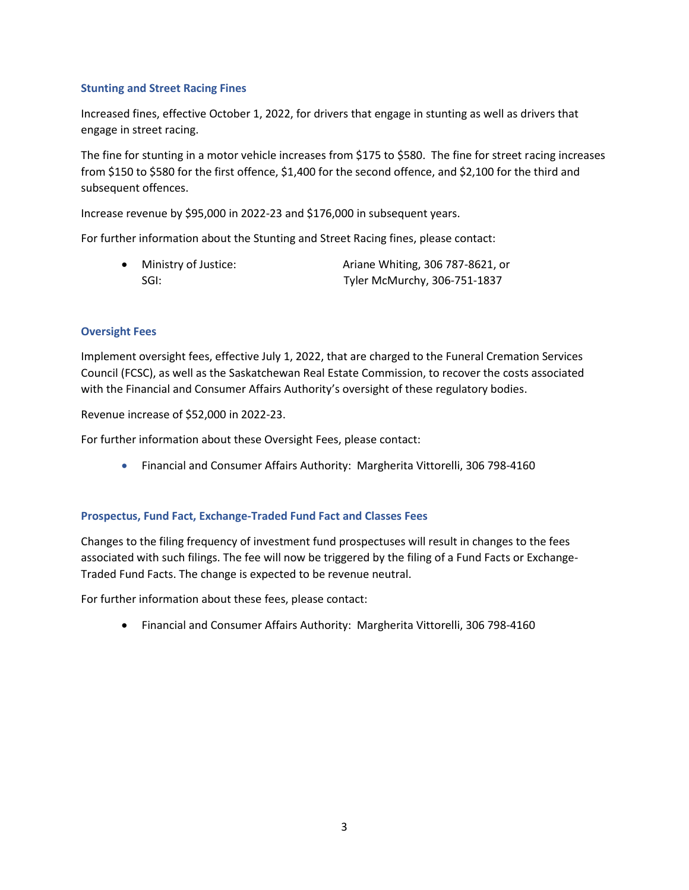# **Stunting and Street Racing Fines**

Increased fines, effective October 1, 2022, for drivers that engage in stunting as well as drivers that engage in street racing.

The fine for stunting in a motor vehicle increases from \$175 to \$580. The fine for street racing increases from \$150 to \$580 for the first offence, \$1,400 for the second offence, and \$2,100 for the third and subsequent offences.

Increase revenue by \$95,000 in 2022-23 and \$176,000 in subsequent years.

For further information about the Stunting and Street Racing fines, please contact:

• Ministry of Justice: Ariane Whiting, 306 787-8621, or SGI: Tyler McMurchy, 306-751-1837

# **Oversight Fees**

Implement oversight fees, effective July 1, 2022, that are charged to the Funeral Cremation Services Council (FCSC), as well as the Saskatchewan Real Estate Commission, to recover the costs associated with the Financial and Consumer Affairs Authority's oversight of these regulatory bodies.

Revenue increase of \$52,000 in 2022-23.

For further information about these Oversight Fees, please contact:

Financial and Consumer Affairs Authority: Margherita Vittorelli, 306 798-4160

# **Prospectus, Fund Fact, Exchange-Traded Fund Fact and Classes Fees**

Changes to the filing frequency of investment fund prospectuses will result in changes to the fees associated with such filings. The fee will now be triggered by the filing of a Fund Facts or Exchange-Traded Fund Facts. The change is expected to be revenue neutral.

For further information about these fees, please contact:

Financial and Consumer Affairs Authority: Margherita Vittorelli, 306 798-4160